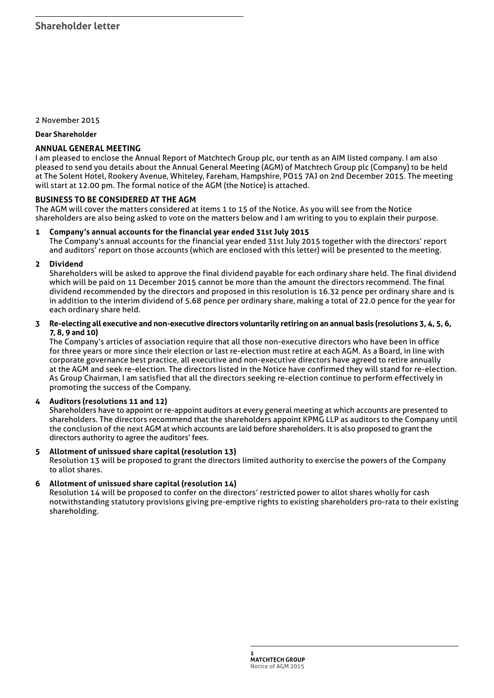2 November 2015

**Dear Shareholder**

## **ANNUAL GENERAL MEETING**

I am pleased to enclose the Annual Report of Matchtech Group plc, our tenth as an AIM listed company. I am also pleased to send you details about the Annual General Meeting (AGM) of Matchtech Group plc (Company) to be held at The Solent Hotel, Rookery Avenue, Whiteley, Fareham, Hampshire, PO15 7AJ on 2nd December 2015. The meeting will start at 12.00 pm. The formal notice of the AGM (the Notice) is attached.

# **BUSINESS TO BE CONSIDERED AT THE AGM**

The AGM will cover the matters considered at items 1 to 15 of the Notice. As you will see from the Notice shareholders are also being asked to vote on the matters below and I am writing to you to explain their purpose.

### **1 Company's annual accounts for the financial year ended 31st July 2015**

The Company's annual accounts for the financial year ended 31st July 2015 together with the directors' report and auditors' report on those accounts (which are enclosed with this letter) will be presented to the meeting.

### **2 Dividend**

Shareholders will be asked to approve the final dividend payable for each ordinary share held. The final dividend which will be paid on 11 December 2015 cannot be more than the amount the directors recommend. The final dividend recommended by the directors and proposed in this resolution is 16.32 pence per ordinary share and is in addition to the interim dividend of 5.68 pence per ordinary share, making a total of 22.0 pence for the year for each ordinary share held.

**3 Re-electing all executive and non-executive directors voluntarily retiring on an annual basis (resolutions 3, 4, 5, 6, 7, 8, 9 and 10)**

The Company's articles of association require that all those non-executive directors who have been in office for three years or more since their election or last re-election must retire at each AGM. As a Board, in line with corporate governance best practice, all executive and non-executive directors have agreed to retire annually at the AGM and seek re-election. The directors listed in the Notice have confirmed they will stand for re-election. As Group Chairman, I am satisfied that all the directors seeking re-election continue to perform effectively in promoting the success of the Company.

### **4 Auditors (resolutions 11 and 12)**

Shareholders have to appoint or re-appoint auditors at every general meeting at which accounts are presented to shareholders. The directors recommend that the shareholders appoint KPMG LLP as auditors to the Company until the conclusion of the next AGM at which accounts are laid before shareholders. It is also proposed to grant the directors authority to agree the auditors' fees.

#### **5 Allotment of unissued share capital (resolution 13)**

Resolution 13 will be proposed to grant the directors limited authority to exercise the powers of the Company to allot shares.

### **6 Allotment of unissued share capital (resolution 14)**

Resolution 14 will be proposed to confer on the directors' restricted power to allot shares wholly for cash notwithstanding statutory provisions giving pre-emptive rights to existing shareholders pro-rata to their existing shareholding.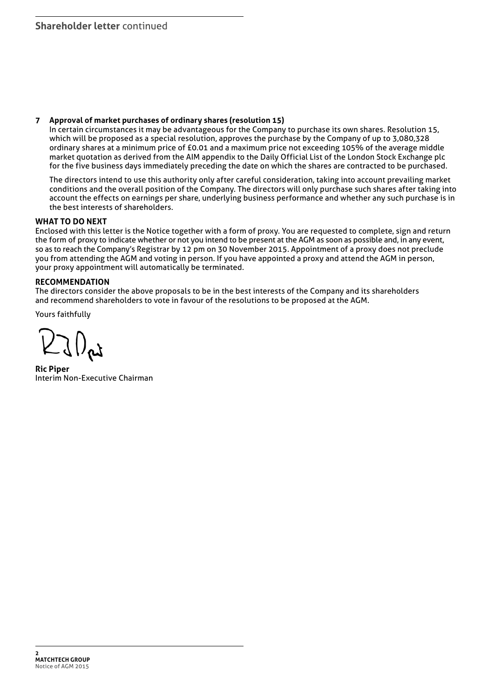### **7 Approval of market purchases of ordinary shares (resolution 15)**

In certain circumstances it may be advantageous for the Company to purchase its own shares. Resolution 15, which will be proposed as a special resolution, approves the purchase by the Company of up to 3,080,328 ordinary shares at a minimum price of £0.01 and a maximum price not exceeding 105% of the average middle market quotation as derived from the AIM appendix to the Daily Official List of the London Stock Exchange plc for the five business days immediately preceding the date on which the shares are contracted to be purchased.

The directors intend to use this authority only after careful consideration, taking into account prevailing market conditions and the overall position of the Company. The directors will only purchase such shares after taking into account the effects on earnings per share, underlying business performance and whether any such purchase is in the best interests of shareholders.

### **WHAT TO DO NEXT**

Enclosed with this letter is the Notice together with a form of proxy. You are requested to complete, sign and return the form of proxy to indicate whether or not you intend to be present at the AGM as soon as possible and, in any event, so as to reach the Company's Registrar by 12 pm on 30 November 2015. Appointment of a proxy does not preclude you from attending the AGM and voting in person. If you have appointed a proxy and attend the AGM in person, your proxy appointment will automatically be terminated.

# **RECOMMENDATION**

The directors consider the above proposals to be in the best interests of the Company and its shareholders and recommend shareholders to vote in favour of the resolutions to be proposed at the AGM.

Yours faithfully

J () pt

**Ric Piper** Interim Non-Executive Chairman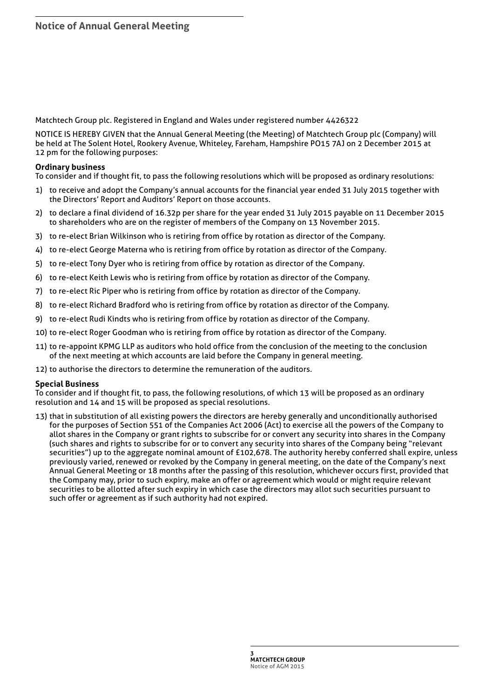Matchtech Group plc. Registered in England and Wales under registered number 4426322

NOTICE IS HEREBY GIVEN that the Annual General Meeting (the Meeting) of Matchtech Group plc (Company) will be held at The Solent Hotel, Rookery Avenue, Whiteley, Fareham, Hampshire PO15 7AJ on 2 December 2015 at 12 pm for the following purposes:

### **Ordinary business**

To consider and if thought fit, to pass the following resolutions which will be proposed as ordinary resolutions:

- 1) to receive and adopt the Company's annual accounts for the financial year ended 31 July 2015 together with the Directors' Report and Auditors' Report on those accounts.
- 2) to declare a final dividend of 16.32p per share for the year ended 31 July 2015 payable on 11 December 2015 to shareholders who are on the register of members of the Company on 13 November 2015.
- 3) to re-elect Brian Wilkinson who is retiring from office by rotation as director of the Company.
- 4) to re-elect George Materna who is retiring from office by rotation as director of the Company.
- 5) to re-elect Tony Dyer who is retiring from office by rotation as director of the Company.
- 6) to re-elect Keith Lewis who is retiring from office by rotation as director of the Company.
- 7) to re-elect Ric Piper who is retiring from office by rotation as director of the Company.
- 8) to re-elect Richard Bradford who is retiring from office by rotation as director of the Company.
- 9) to re-elect Rudi Kindts who is retiring from office by rotation as director of the Company.
- 10) to re-elect Roger Goodman who is retiring from office by rotation as director of the Company.
- 11) to re-appoint KPMG LLP as auditors who hold office from the conclusion of the meeting to the conclusion of the next meeting at which accounts are laid before the Company in general meeting.
- 12) to authorise the directors to determine the remuneration of the auditors.

### **Special Business**

To consider and if thought fit, to pass, the following resolutions, of which 13 will be proposed as an ordinary resolution and 14 and 15 will be proposed as special resolutions.

13) that in substitution of all existing powers the directors are hereby generally and unconditionally authorised for the purposes of Section 551 of the Companies Act 2006 (Act) to exercise all the powers of the Company to allot shares in the Company or grant rights to subscribe for or convert any security into shares in the Company (such shares and rights to subscribe for or to convert any security into shares of the Company being "relevant securities") up to the aggregate nominal amount of £102,678. The authority hereby conferred shall expire, unless previously varied, renewed or revoked by the Company in general meeting, on the date of the Company's next Annual General Meeting or 18 months after the passing of this resolution, whichever occurs first, provided that the Company may, prior to such expiry, make an offer or agreement which would or might require relevant securities to be allotted after such expiry in which case the directors may allot such securities pursuant to such offer or agreement as if such authority had not expired.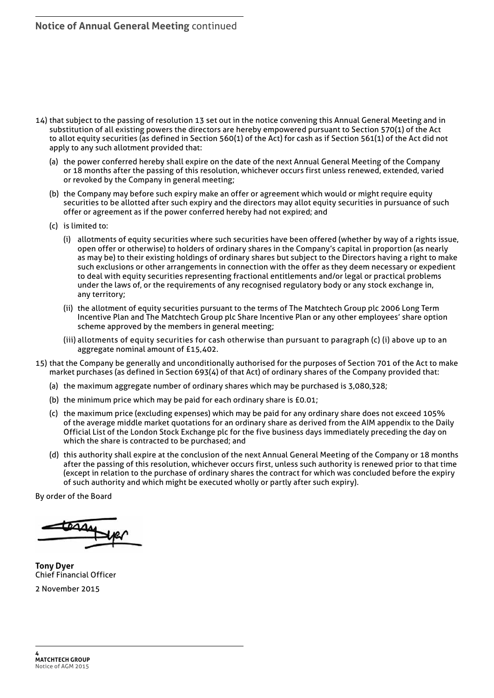- 14) that subject to the passing of resolution 13 set out in the notice convening this Annual General Meeting and in substitution of all existing powers the directors are hereby empowered pursuant to Section 570(1) of the Act to allot equity securities (as defined in Section 560(1) of the Act) for cash as if Section 561(1) of the Act did not apply to any such allotment provided that:
	- (a) the power conferred hereby shall expire on the date of the next Annual General Meeting of the Company or 18 months after the passing of this resolution, whichever occurs first unless renewed, extended, varied or revoked by the Company in general meeting;
	- (b) the Company may before such expiry make an offer or agreement which would or might require equity securities to be allotted after such expiry and the directors may allot equity securities in pursuance of such offer or agreement as if the power conferred hereby had not expired; and
	- (c) is limited to:
		- (i) allotments of equity securities where such securities have been offered (whether by way of a rights issue, open offer or otherwise) to holders of ordinary shares in the Company's capital in proportion (as nearly as may be) to their existing holdings of ordinary shares but subject to the Directors having a right to make such exclusions or other arrangements in connection with the offer as they deem necessary or expedient to deal with equity securities representing fractional entitlements and/or legal or practical problems under the laws of, or the requirements of any recognised regulatory body or any stock exchange in, any territory;
		- (ii) the allotment of equity securities pursuant to the terms of The Matchtech Group plc 2006 Long Term Incentive Plan and The Matchtech Group plc Share Incentive Plan or any other employees' share option scheme approved by the members in general meeting;
		- (iii) allotments of equity securities for cash otherwise than pursuant to paragraph (c) (i) above up to an aggregate nominal amount of £15,402.
- 15) that the Company be generally and unconditionally authorised for the purposes of Section 701 of the Act to make market purchases (as defined in Section 693(4) of that Act) of ordinary shares of the Company provided that:
	- (a) the maximum aggregate number of ordinary shares which may be purchased is 3,080,328;
	- (b) the minimum price which may be paid for each ordinary share is £0.01;
	- (c) the maximum price (excluding expenses) which may be paid for any ordinary share does not exceed 105% of the average middle market quotations for an ordinary share as derived from the AIM appendix to the Daily Official List of the London Stock Exchange plc for the five business days immediately preceding the day on which the share is contracted to be purchased; and
	- (d) this authority shall expire at the conclusion of the next Annual General Meeting of the Company or 18 months after the passing of this resolution, whichever occurs first, unless such authority is renewed prior to that time (except in relation to the purchase of ordinary shares the contract for which was concluded before the expiry of such authority and which might be executed wholly or partly after such expiry).

By order of the Board

**TAA** 

**Tony Dyer** Chief Financial Officer 2 November 2015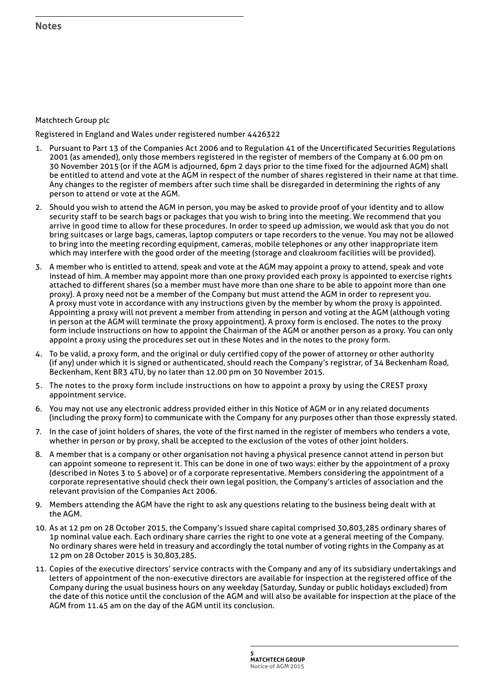## Matchtech Group plc

Registered in England and Wales under registered number 4426322

- 1. Pursuant to Part 13 of the Companies Act 2006 and to Regulation 41 of the Uncertificated Securities Regulations 2001 (as amended), only those members registered in the register of members of the Company at 6.00 pm on 30 November 2015 (or if the AGM is adjourned, 6pm 2 days prior to the time fixed for the adjourned AGM) shall be entitled to attend and vote at the AGM in respect of the number of shares registered in their name at that time. Any changes to the register of members after such time shall be disregarded in determining the rights of any person to attend or vote at the AGM.
- 2. Should you wish to attend the AGM in person, you may be asked to provide proof of your identity and to allow security staff to be search bags or packages that you wish to bring into the meeting. We recommend that you arrive in good time to allow for these procedures. In order to speed up admission, we would ask that you do not bring suitcases or large bags, cameras, laptop computers or tape recorders to the venue. You may not be allowed to bring into the meeting recording equipment, cameras, mobile telephones or any other inappropriate item which may interfere with the good order of the meeting (storage and cloakroom facilities will be provided).
- 3. A member who is entitled to attend, speak and vote at the AGM may appoint a proxy to attend, speak and vote instead of him. A member may appoint more than one proxy provided each proxy is appointed to exercise rights attached to different shares (so a member must have more than one share to be able to appoint more than one proxy). A proxy need not be a member of the Company but must attend the AGM in order to represent you. A proxy must vote in accordance with any instructions given by the member by whom the proxy is appointed. Appointing a proxy will not prevent a member from attending in person and voting at the AGM (although voting in person at the AGM will terminate the proxy appointment). A proxy form is enclosed. The notes to the proxy form include instructions on how to appoint the Chairman of the AGM or another person as a proxy. You can only appoint a proxy using the procedures set out in these Notes and in the notes to the proxy form.
- 4. To be valid, a proxy form, and the original or duly certified copy of the power of attorney or other authority (if any) under which it is signed or authenticated, should reach the Company's registrar, of 34 Beckenham Road, Beckenham, Kent BR3 4TU, by no later than 12.00 pm on 30 November 2015.
- 5. The notes to the proxy form include instructions on how to appoint a proxy by using the CREST proxy appointment service.
- 6. You may not use any electronic address provided either in this Notice of AGM or in any related documents (including the proxy form) to communicate with the Company for any purposes other than those expressly stated.
- 7. In the case of joint holders of shares, the vote of the first named in the register of members who tenders a vote, whether in person or by proxy, shall be accepted to the exclusion of the votes of other joint holders.
- 8. A member that is a company or other organisation not having a physical presence cannot attend in person but can appoint someone to represent it. This can be done in one of two ways: either by the appointment of a proxy (described in Notes 3 to 5 above) or of a corporate representative. Members considering the appointment of a corporate representative should check their own legal position, the Company's articles of association and the relevant provision of the Companies Act 2006.
- 9. Members attending the AGM have the right to ask any questions relating to the business being dealt with at the AGM.
- 10. As at 12 pm on 28 October 2015, the Company's issued share capital comprised 30,803,285 ordinary shares of 1p nominal value each. Each ordinary share carries the right to one vote at a general meeting of the Company. No ordinary shares were held in treasury and accordingly the total number of voting rights in the Company as at 12 pm on 28 October 2015 is 30,803,285.
- 11. Copies of the executive directors' service contracts with the Company and any of its subsidiary undertakings and letters of appointment of the non-executive directors are available for inspection at the registered office of the Company during the usual business hours on any weekday (Saturday, Sunday or public holidays excluded) from the date of this notice until the conclusion of the AGM and will also be available for inspection at the place of the AGM from 11.45 am on the day of the AGM until its conclusion.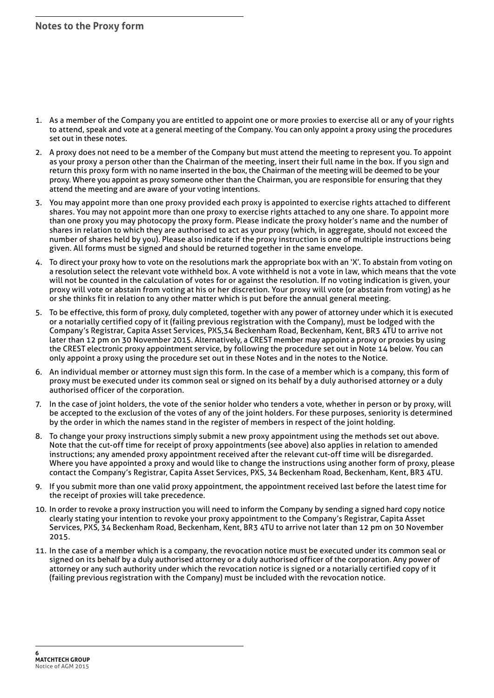- 1. As a member of the Company you are entitled to appoint one or more proxies to exercise all or any of your rights to attend, speak and vote at a general meeting of the Company. You can only appoint a proxy using the procedures set out in these notes.
- 2. A proxy does not need to be a member of the Company but must attend the meeting to represent you. To appoint as your proxy a person other than the Chairman of the meeting, insert their full name in the box. If you sign and return this proxy form with no name inserted in the box, the Chairman of the meeting will be deemed to be your proxy. Where you appoint as proxy someone other than the Chairman, you are responsible for ensuring that they attend the meeting and are aware of your voting intentions.
- 3. You may appoint more than one proxy provided each proxy is appointed to exercise rights attached to different shares. You may not appoint more than one proxy to exercise rights attached to any one share. To appoint more than one proxy you may photocopy the proxy form. Please indicate the proxy holder's name and the number of shares in relation to which they are authorised to act as your proxy (which, in aggregate, should not exceed the number of shares held by you). Please also indicate if the proxy instruction is one of multiple instructions being given. All forms must be signed and should be returned together in the same envelope.
- 4. To direct your proxy how to vote on the resolutions mark the appropriate box with an 'X'. To abstain from voting on a resolution select the relevant vote withheld box. A vote withheld is not a vote in law, which means that the vote will not be counted in the calculation of votes for or against the resolution. If no voting indication is given, your proxy will vote or abstain from voting at his or her discretion. Your proxy will vote (or abstain from voting) as he or she thinks fit in relation to any other matter which is put before the annual general meeting.
- 5. To be effective, this form of proxy, duly completed, together with any power of attorney under which it is executed or a notarially certified copy of it (failing previous registration with the Company), must be lodged with the Company's Registrar, Capita Asset Services, PXS,34 Beckenham Road, Beckenham, Kent, BR3 4TU to arrive not later than 12 pm on 30 November 2015. Alternatively, a CREST member may appoint a proxy or proxies by using the CREST electronic proxy appointment service, by following the procedure set out in Note 14 below. You can only appoint a proxy using the procedure set out in these Notes and in the notes to the Notice.
- 6. An individual member or attorney must sign this form. In the case of a member which is a company, this form of proxy must be executed under its common seal or signed on its behalf by a duly authorised attorney or a duly authorised officer of the corporation.
- 7. In the case of joint holders, the vote of the senior holder who tenders a vote, whether in person or by proxy, will be accepted to the exclusion of the votes of any of the joint holders. For these purposes, seniority is determined by the order in which the names stand in the register of members in respect of the joint holding.
- 8. To change your proxy instructions simply submit a new proxy appointment using the methods set out above. Note that the cut-off time for receipt of proxy appointments (see above) also applies in relation to amended instructions; any amended proxy appointment received after the relevant cut-off time will be disregarded. Where you have appointed a proxy and would like to change the instructions using another form of proxy, please contact the Company's Registrar, Capita Asset Services, PXS, 34 Beckenham Road, Beckenham, Kent, BR3 4TU.
- 9. If you submit more than one valid proxy appointment, the appointment received last before the latest time for the receipt of proxies will take precedence.
- 10. In order to revoke a proxy instruction you will need to inform the Company by sending a signed hard copy notice clearly stating your intention to revoke your proxy appointment to the Company's Registrar, Capita Asset Services, PXS, 34 Beckenham Road, Beckenham, Kent, BR3 4TU to arrive not later than 12 pm on 30 November 2015.
- 11. In the case of a member which is a company, the revocation notice must be executed under its common seal or signed on its behalf by a duly authorised attorney or a duly authorised officer of the corporation. Any power of attorney or any such authority under which the revocation notice is signed or a notarially certified copy of it (failing previous registration with the Company) must be included with the revocation notice.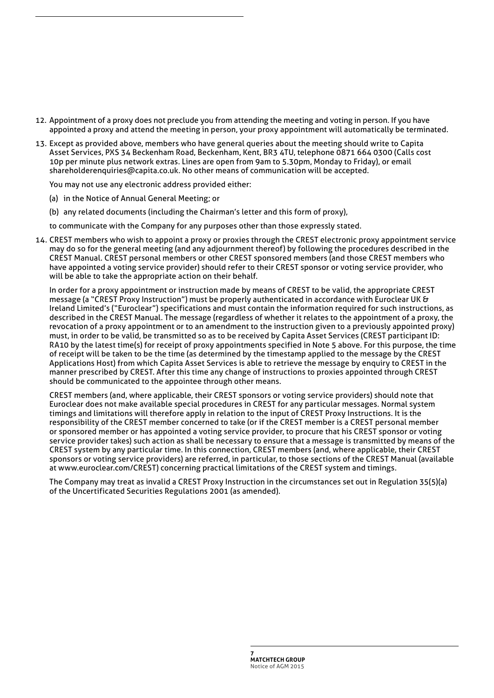- 12. Appointment of a proxy does not preclude you from attending the meeting and voting in person. If you have appointed a proxy and attend the meeting in person, your proxy appointment will automatically be terminated.
- 13. Except as provided above, members who have general queries about the meeting should write to Capita Asset Services, PXS 34 Beckenham Road, Beckenham, Kent, BR3 4TU, telephone 0871 664 0300 (Calls cost 10p per minute plus network extras. Lines are open from 9am to 5.30pm, Monday to Friday), or email shareholderenquiries@capita.co.uk. No other means of communication will be accepted.

You may not use any electronic address provided either:

- (a) in the Notice of Annual General Meeting; or
- (b) any related documents (including the Chairman's letter and this form of proxy),

to communicate with the Company for any purposes other than those expressly stated.

14. CREST members who wish to appoint a proxy or proxies through the CREST electronic proxy appointment service may do so for the general meeting (and any adjournment thereof) by following the procedures described in the CREST Manual. CREST personal members or other CREST sponsored members (and those CREST members who have appointed a voting service provider) should refer to their CREST sponsor or voting service provider, who will be able to take the appropriate action on their behalf.

In order for a proxy appointment or instruction made by means of CREST to be valid, the appropriate CREST message (a "CREST Proxy Instruction") must be properly authenticated in accordance with Euroclear UK & Ireland Limited's ("Euroclear") specifications and must contain the information required for such instructions, as described in the CREST Manual. The message (regardless of whether it relates to the appointment of a proxy, the revocation of a proxy appointment or to an amendment to the instruction given to a previously appointed proxy) must, in order to be valid, be transmitted so as to be received by Capita Asset Services (CREST participant ID: RA10 by the latest time(s) for receipt of proxy appointments specified in Note 5 above. For this purpose, the time of receipt will be taken to be the time (as determined by the timestamp applied to the message by the CREST Applications Host) from which Capita Asset Services is able to retrieve the message by enquiry to CREST in the manner prescribed by CREST. After this time any change of instructions to proxies appointed through CREST should be communicated to the appointee through other means.

CREST members (and, where applicable, their CREST sponsors or voting service providers) should note that Euroclear does not make available special procedures in CREST for any particular messages. Normal system timings and limitations will therefore apply in relation to the input of CREST Proxy Instructions. It is the responsibility of the CREST member concerned to take (or if the CREST member is a CREST personal member or sponsored member or has appointed a voting service provider, to procure that his CREST sponsor or voting service provider takes) such action as shall be necessary to ensure that a message is transmitted by means of the CREST system by any particular time. In this connection, CREST members (and, where applicable, their CREST sponsors or voting service providers) are referred, in particular, to those sections of the CREST Manual (available at www.euroclear.com/CREST) concerning practical limitations of the CREST system and timings.

The Company may treat as invalid a CREST Proxy Instruction in the circumstances set out in Regulation 35(5)(a) of the Uncertificated Securities Regulations 2001 (as amended).